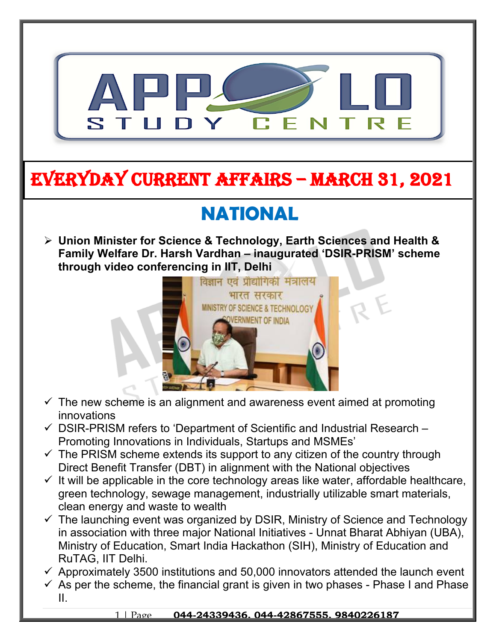

## **EVERYDAY CURRENT AFFAIRS – MARCH 31, 2021**

**-**

# **NATIONAL**

 **Union Minister for Science & Technology, Earth Sciences and Health & Family Welfare Dr. Harsh Vardhan – inaugurated 'DSIR-PRISM' scheme through video conferencing in IIT, Delhi**



- $\checkmark$  The new scheme is an alignment and awareness event aimed at promoting innovations
- $\checkmark$  DSIR-PRISM refers to 'Department of Scientific and Industrial Research Promoting Innovations in Individuals, Startups and MSMEs'
- $\checkmark$  The PRISM scheme extends its support to any citizen of the country through Direct Benefit Transfer (DBT) in alignment with the National objectives
- $\checkmark$  It will be applicable in the core technology areas like water, affordable healthcare, green technology, sewage management, industrially utilizable smart materials, clean energy and waste to wealth
- $\checkmark$  The launching event was organized by DSIR, Ministry of Science and Technology in association with three major National Initiatives - Unnat Bharat Abhiyan (UBA), Ministry of Education, Smart India Hackathon (SIH), Ministry of Education and RuTAG, IIT Delhi.
- $\checkmark$  Approximately 3500 institutions and 50,000 innovators attended the launch event
- $\checkmark$  As per the scheme, the financial grant is given in two phases Phase I and Phase II.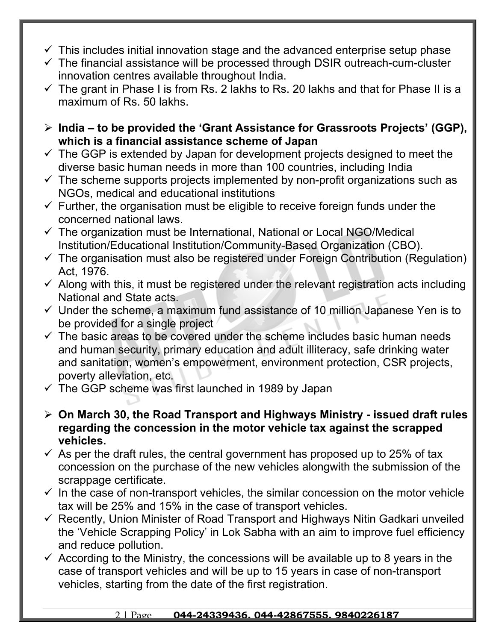- $\checkmark$  This includes initial innovation stage and the advanced enterprise setup phase
- $\checkmark$  The financial assistance will be processed through DSIR outreach-cum-cluster innovation centres available throughout India.
- $\checkmark$  The grant in Phase I is from Rs. 2 lakhs to Rs. 20 lakhs and that for Phase II is a maximum of Rs. 50 lakhs.
- **India to be provided the 'Grant Assistance for Grassroots Projects' (GGP), which is a financial assistance scheme of Japan**
- $\checkmark$  The GGP is extended by Japan for development projects designed to meet the diverse basic human needs in more than 100 countries, including India
- $\checkmark$  The scheme supports projects implemented by non-profit organizations such as NGOs, medical and educational institutions
- $\checkmark$  Further, the organisation must be eligible to receive foreign funds under the concerned national laws.
- $\checkmark$  The organization must be International, National or Local NGO/Medical Institution/Educational Institution/Community-Based Organization (CBO).
- $\checkmark$  The organisation must also be registered under Foreign Contribution (Regulation) Act, 1976.
- $\checkmark$  Along with this, it must be registered under the relevant registration acts including National and State acts.
- $\checkmark$  Under the scheme, a maximum fund assistance of 10 million Japanese Yen is to be provided for a single project
- $\checkmark$  The basic areas to be covered under the scheme includes basic human needs and human security, primary education and adult illiteracy, safe drinking water and sanitation, women's empowerment, environment protection, CSR projects, poverty alleviation, etc.
- $\checkmark$  The GGP scheme was first launched in 1989 by Japan
- **On March 30, the Road Transport and Highways Ministry issued draft rules regarding the concession in the motor vehicle tax against the scrapped vehicles.**
- $\checkmark$  As per the draft rules, the central government has proposed up to 25% of tax concession on the purchase of the new vehicles alongwith the submission of the scrappage certificate.
- $\checkmark$  In the case of non-transport vehicles, the similar concession on the motor vehicle tax will be 25% and 15% in the case of transport vehicles.
- $\checkmark$  Recently, Union Minister of Road Transport and Highways Nitin Gadkari unveiled the 'Vehicle Scrapping Policy' in Lok Sabha with an aim to improve fuel efficiency and reduce pollution.
- $\checkmark$  According to the Ministry, the concessions will be available up to 8 years in the case of transport vehicles and will be up to 15 years in case of non-transport vehicles, starting from the date of the first registration.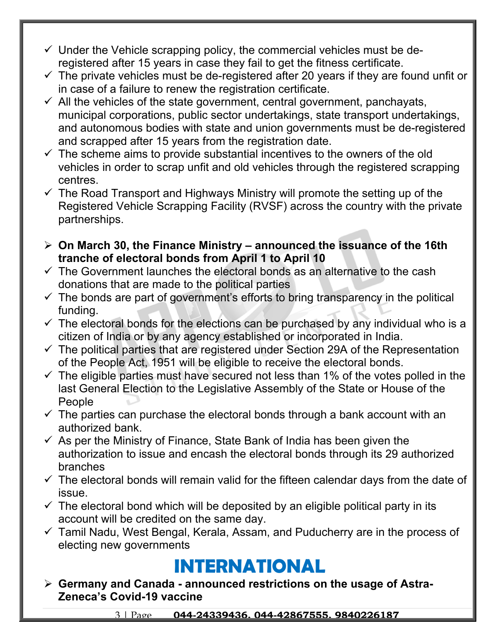- $\checkmark$  Under the Vehicle scrapping policy, the commercial vehicles must be deregistered after 15 years in case they fail to get the fitness certificate.
- $\checkmark$  The private vehicles must be de-registered after 20 years if they are found unfit or in case of a failure to renew the registration certificate.
- $\checkmark$  All the vehicles of the state government, central government, panchayats, municipal corporations, public sector undertakings, state transport undertakings, and autonomous bodies with state and union governments must be de-registered and scrapped after 15 years from the registration date.
- $\checkmark$  The scheme aims to provide substantial incentives to the owners of the old vehicles in order to scrap unfit and old vehicles through the registered scrapping centres.
- $\checkmark$  The Road Transport and Highways Ministry will promote the setting up of the Registered Vehicle Scrapping Facility (RVSF) across the country with the private partnerships.
- **On March 30, the Finance Ministry announced the issuance of the 16th tranche of electoral bonds from April 1 to April 10**
- $\checkmark$  The Government launches the electoral bonds as an alternative to the cash donations that are made to the political parties
- $\checkmark$  The bonds are part of government's efforts to bring transparency in the political funding.
- $\checkmark$  The electoral bonds for the elections can be purchased by any individual who is a citizen of India or by any agency established or incorporated in India.
- $\checkmark$  The political parties that are registered under Section 29A of the Representation of the People Act, 1951 will be eligible to receive the electoral bonds.
- $\checkmark$  The eligible parties must have secured not less than 1% of the votes polled in the last General Election to the Legislative Assembly of the State or House of the People
- $\checkmark$  The parties can purchase the electoral bonds through a bank account with an authorized bank.
- $\checkmark$  As per the Ministry of Finance, State Bank of India has been given the authorization to issue and encash the electoral bonds through its 29 authorized branches
- $\checkmark$  The electoral bonds will remain valid for the fifteen calendar days from the date of issue.
- $\checkmark$  The electoral bond which will be deposited by an eligible political party in its account will be credited on the same day.
- $\checkmark$  Tamil Nadu, West Bengal, Kerala, Assam, and Puducherry are in the process of electing new governments

#### **INTERNATIONAL**

 **Germany and Canada - announced restrictions on the usage of Astra-Zeneca's Covid-19 vaccine**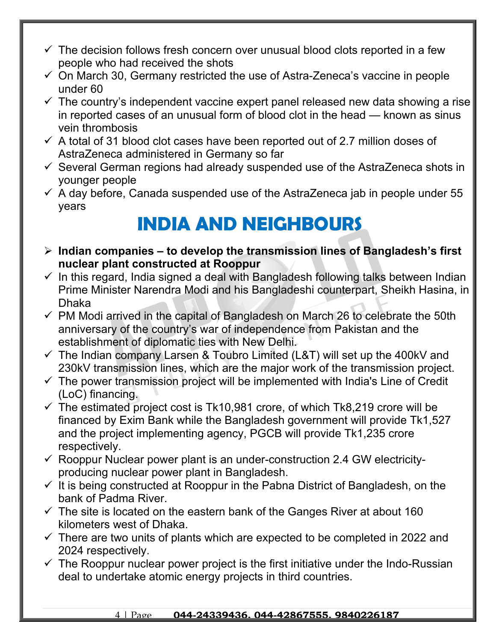- $\checkmark$  The decision follows fresh concern over unusual blood clots reported in a few people who had received the shots
- $\checkmark$  On March 30, Germany restricted the use of Astra-Zeneca's vaccine in people under 60
- $\checkmark$  The country's independent vaccine expert panel released new data showing a rise in reported cases of an unusual form of blood clot in the head — known as sinus vein thrombosis
- $\checkmark$  A total of 31 blood clot cases have been reported out of 2.7 million doses of AstraZeneca administered in Germany so far
- $\checkmark$  Several German regions had already suspended use of the AstraZeneca shots in younger people
- $\checkmark$  A day before, Canada suspended use of the AstraZeneca jab in people under 55 years

#### **INDIA AND NEIGHBOURS**

- **Indian companies to develop the transmission lines of Bangladesh's first nuclear plant constructed at Rooppur**
- $\checkmark$  In this regard, India signed a deal with Bangladesh following talks between Indian Prime Minister Narendra Modi and his Bangladeshi counterpart, Sheikh Hasina, in Dhaka
- $\checkmark$  PM Modi arrived in the capital of Bangladesh on March 26 to celebrate the 50th anniversary of the country's war of independence from Pakistan and the establishment of diplomatic ties with New Delhi.
- $\checkmark$  The Indian company Larsen & Toubro Limited (L&T) will set up the 400kV and 230kV transmission lines, which are the major work of the transmission project.
- $\checkmark$  The power transmission project will be implemented with India's Line of Credit (LoC) financing.
- $\checkmark$  The estimated project cost is Tk10,981 crore, of which Tk8,219 crore will be financed by Exim Bank while the Bangladesh government will provide Tk1,527 and the project implementing agency, PGCB will provide Tk1,235 crore respectively.
- $\checkmark$  Rooppur Nuclear power plant is an under-construction 2.4 GW electricityproducing nuclear power plant in Bangladesh.
- $\checkmark$  It is being constructed at Rooppur in the Pabna District of Bangladesh, on the bank of Padma River.
- $\checkmark$  The site is located on the eastern bank of the Ganges River at about 160 kilometers west of Dhaka.
- $\checkmark$  There are two units of plants which are expected to be completed in 2022 and 2024 respectively.
- $\checkmark$  The Rooppur nuclear power project is the first initiative under the Indo-Russian deal to undertake atomic energy projects in third countries.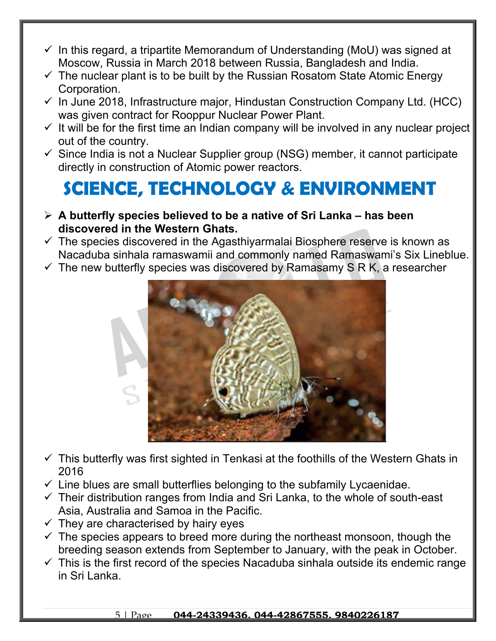- $\checkmark$  In this regard, a tripartite Memorandum of Understanding (MoU) was signed at Moscow, Russia in March 2018 between Russia, Bangladesh and India.
- $\checkmark$  The nuclear plant is to be built by the Russian Rosatom State Atomic Energy Corporation.
- $\checkmark$  In June 2018, Infrastructure major, Hindustan Construction Company Ltd. (HCC) was given contract for Rooppur Nuclear Power Plant.
- $\checkmark$  It will be for the first time an Indian company will be involved in any nuclear project out of the country.
- $\checkmark$  Since India is not a Nuclear Supplier group (NSG) member, it cannot participate directly in construction of Atomic power reactors.

#### **SCIENCE, TECHNOLOGY & ENVIRONMENT**

- **A butterfly species believed to be a native of Sri Lanka has been discovered in the Western Ghats.**
- $\checkmark$  The species discovered in the Agasthiyarmalai Biosphere reserve is known as Nacaduba sinhala ramaswamii and commonly named Ramaswami's Six Lineblue.
- $\checkmark$  The new butterfly species was discovered by Ramasamy S R K, a researcher



- $\checkmark$  This butterfly was first sighted in Tenkasi at the foothills of the Western Ghats in 2016
- $\checkmark$  Line blues are small butterflies belonging to the subfamily Lycaenidae.
- $\checkmark$  Their distribution ranges from India and Sri Lanka, to the whole of south-east Asia, Australia and Samoa in the Pacific.
- $\checkmark$  They are characterised by hairy eyes
- $\checkmark$  The species appears to breed more during the northeast monsoon, though the breeding season extends from September to January, with the peak in October.
- $\checkmark$  This is the first record of the species Nacaduba sinhala outside its endemic range in Sri Lanka.

#### 5 | Page **044-24339436, 044-42867555, 9840226187**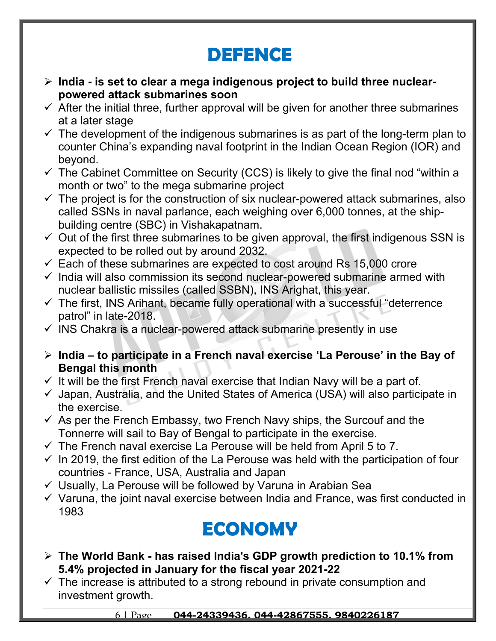### **DEFENCE**

- **India is set to clear a mega indigenous project to build three nuclearpowered attack submarines soon**
- $\checkmark$  After the initial three, further approval will be given for another three submarines at a later stage
- $\checkmark$  The development of the indigenous submarines is as part of the long-term plan to counter China's expanding naval footprint in the Indian Ocean Region (IOR) and beyond.
- $\checkmark$  The Cabinet Committee on Security (CCS) is likely to give the final nod "within a month or two" to the mega submarine project
- $\checkmark$  The project is for the construction of six nuclear-powered attack submarines, also called SSNs in naval parlance, each weighing over 6,000 tonnes, at the shipbuilding centre (SBC) in Vishakapatnam.
- $\checkmark$  Out of the first three submarines to be given approval, the first indigenous SSN is expected to be rolled out by around 2032.
- $\checkmark$  Each of these submarines are expected to cost around Rs 15,000 crore
- $\checkmark$  India will also commission its second nuclear-powered submarine armed with nuclear ballistic missiles (called SSBN), INS Arighat, this year.
- $\checkmark$  The first, INS Arihant, became fully operational with a successful "deterrence patrol" in late-2018.
- $\checkmark$  INS Chakra is a nuclear-powered attack submarine presently in use
- **India to participate in a French naval exercise 'La Perouse' in the Bay of Bengal this month**
- $\checkmark$  It will be the first French naval exercise that Indian Navy will be a part of.
- $\checkmark$  Japan, Australia, and the United States of America (USA) will also participate in the exercise.
- $\checkmark$  As per the French Embassy, two French Navy ships, the Surcouf and the Tonnerre will sail to Bay of Bengal to participate in the exercise.
- $\checkmark$  The French naval exercise La Perouse will be held from April 5 to 7.
- $\checkmark$  In 2019, the first edition of the La Perouse was held with the participation of four countries - France, USA, Australia and Japan
- $\checkmark$  Usually, La Perouse will be followed by Varuna in Arabian Sea
- $\checkmark$  Varuna, the joint naval exercise between India and France, was first conducted in 1983

#### **ECONOMY**

- **The World Bank has raised India's GDP growth prediction to 10.1% from 5.4% projected in January for the fiscal year 2021-22**
- $\checkmark$  The increase is attributed to a strong rebound in private consumption and investment growth.